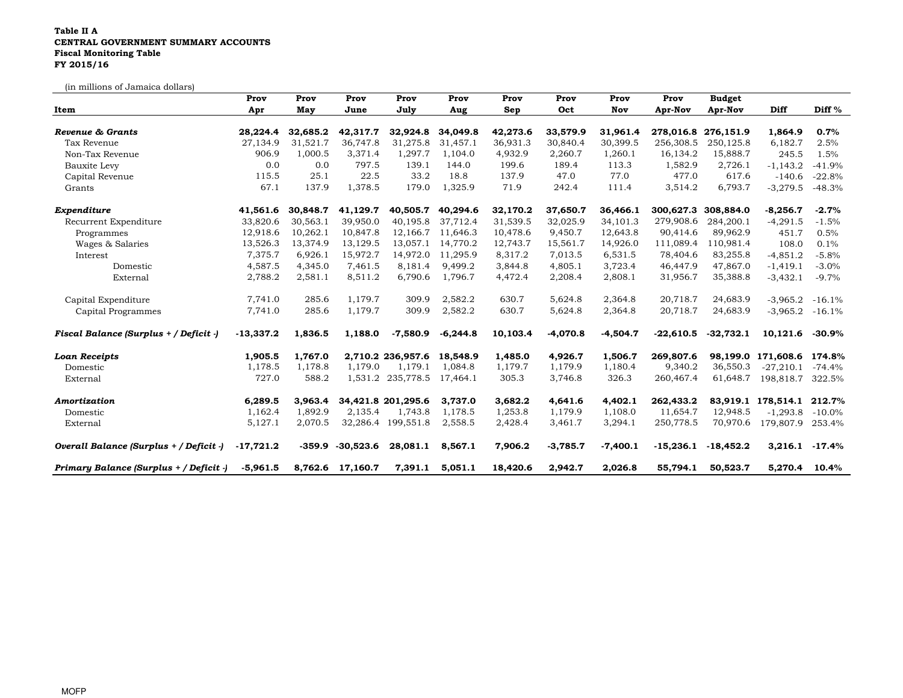## Table II A CENTRAL GOVERNMENT SUMMARY ACCOUNTS Fiscal Monitoring TableFY 2015/16

(in millions of Jamaica dollars)

|                                         | Prov        | Prov     | Prov             | Prov               | Prov       | Prov     | Prov       | Prov       | Prov        | <b>Budget</b>       |                    |           |
|-----------------------------------------|-------------|----------|------------------|--------------------|------------|----------|------------|------------|-------------|---------------------|--------------------|-----------|
| Item                                    | Apr         | May      | June             | July               | Aug        | Sep      | Oct        | Nov        | Apr-Nov     | Apr-Nov             | Diff               | Diff %    |
| Revenue & Grants                        | 28,224.4    | 32,685.2 | 42,317.7         | 32,924.8           | 34,049.8   | 42,273.6 | 33,579.9   | 31,961.4   |             | 278,016.8 276,151.9 | 1,864.9            | 0.7%      |
| Tax Revenue                             | 27,134.9    | 31,521.7 | 36,747.8         | 31,275.8           | 31,457.1   | 36,931.3 | 30,840.4   | 30,399.5   | 256,308.5   | 250, 125.8          | 6,182.7            | 2.5%      |
| Non-Tax Revenue                         | 906.9       | 1,000.5  | 3,371.4          | 1,297.7            | 1,104.0    | 4,932.9  | 2,260.7    | 1,260.1    | 16,134.2    | 15,888.7            | 245.5              | 1.5%      |
| Bauxite Levy                            | 0.0         | 0.0      | 797.5            | 139.1              | 144.0      | 199.6    | 189.4      | 113.3      | 1,582.9     | 2,726.1             | $-1,143.2$         | $-41.9%$  |
| Capital Revenue                         | 115.5       | 25.1     | 22.5             | 33.2               | 18.8       | 137.9    | 47.0       | 77.0       | 477.0       | 617.6               | $-140.6$           | $-22.8%$  |
| Grants                                  | 67.1        | 137.9    | 1,378.5          | 179.0              | 1,325.9    | 71.9     | 242.4      | 111.4      | 3,514.2     | 6,793.7             | $-3,279.5$         | $-48.3%$  |
| Expenditure                             | 41,561.6    | 30,848.7 | 41,129.7         | 40,505.7           | 40,294.6   | 32,170.2 | 37,650.7   | 36,466.1   | 300,627.3   | 308,884.0           | $-8,256.7$         | $-2.7%$   |
| Recurrent Expenditure                   | 33,820.6    | 30,563.1 | 39,950.0         | 40,195.8           | 37.712.4   | 31,539.5 | 32,025.9   | 34,101.3   | 279,908.6   | 284,200.1           | $-4,291.5$         | $-1.5%$   |
| Programmes                              | 12,918.6    | 10,262.1 | 10,847.8         | 12,166.7           | 11,646.3   | 10,478.6 | 9,450.7    | 12,643.8   | 90,414.6    | 89,962.9            | 451.7              | 0.5%      |
| Wages & Salaries                        | 13,526.3    | 13,374.9 | 13,129.5         | 13,057.1           | 14,770.2   | 12,743.7 | 15,561.7   | 14,926.0   | 111,089.4   | 110,981.4           | 108.0              | 0.1%      |
| Interest                                | 7,375.7     | 6,926.1  | 15,972.7         | 14,972.0           | 11,295.9   | 8,317.2  | 7,013.5    | 6,531.5    | 78,404.6    | 83,255.8            | $-4,851.2$         | $-5.8%$   |
| Domestic                                | 4,587.5     | 4,345.0  | 7,461.5          | 8,181.4            | 9,499.2    | 3,844.8  | 4,805.1    | 3,723.4    | 46,447.9    | 47,867.0            | $-1,419.1$         | $-3.0%$   |
| External                                | 2,788.2     | 2,581.1  | 8,511.2          | 6,790.6            | 1,796.7    | 4,472.4  | 2,208.4    | 2,808.1    | 31,956.7    | 35,388.8            | $-3,432.1$         | $-9.7%$   |
| Capital Expenditure                     | 7,741.0     | 285.6    | 1,179.7          | 309.9              | 2,582.2    | 630.7    | 5,624.8    | 2,364.8    | 20,718.7    | 24,683.9            | $-3,965.2$         | $-16.1%$  |
| Capital Programmes                      | 7,741.0     | 285.6    | 1,179.7          | 309.9              | 2,582.2    | 630.7    | 5,624.8    | 2,364.8    | 20,718.7    | 24,683.9            | $-3,965.2$         | $-16.1%$  |
| Fiscal Balance (Surplus + / Deficit -)  | $-13,337.2$ | 1,836.5  | 1,188.0          | $-7,580.9$         | $-6,244.8$ | 10,103.4 | $-4,070.8$ | $-4,504.7$ | $-22,610.5$ | $-32,732.1$         | 10,121.6           | $-30.9\%$ |
| <b>Loan Receipts</b>                    | 1,905.5     | 1.767.0  |                  | 2,710.2 236,957.6  | 18,548.9   | 1,485.0  | 4,926.7    | 1,506.7    | 269,807.6   |                     | 98,199.0 171,608.6 | 174.8%    |
| Domestic                                | 1,178.5     | 1,178.8  | 1,179.0          | 1.179.1            | 1,084.8    | 1,179.7  | 1,179.9    | 1,180.4    | 9,340.2     | 36,550.3            | $-27,210.1$        | $-74.4%$  |
| External                                | 727.0       | 588.2    | 1,531.2          | 235,778.5          | 17,464.1   | 305.3    | 3,746.8    | 326.3      | 260,467.4   | 61,648.7            | 198,818.7          | 322.5%    |
| Amortization                            | 6,289.5     | 3.963.4  |                  | 34,421.8 201,295.6 | 3.737.0    | 3,682.2  | 4,641.6    | 4,402.1    | 262,433.2   |                     | 83,919.1 178,514.1 | 212.7%    |
| Domestic                                | 1,162.4     | 1,892.9  | 2,135.4          | 1,743.8            | 1,178.5    | 1,253.8  | 1,179.9    | 1,108.0    | 11,654.7    | 12,948.5            | $-1,293.8$         | $-10.0\%$ |
| External                                | 5,127.1     | 2,070.5  | 32,286.4         | 199,551.8          | 2,558.5    | 2,428.4  | 3,461.7    | 3,294.1    | 250,778.5   | 70,970.6            | 179,807.9          | 253.4%    |
| Overall Balance (Surplus + / Deficit -) | $-17,721.2$ | $-359.9$ | $-30,523.6$      | 28,081.1           | 8,567.1    | 7,906.2  | $-3,785.7$ | $-7,400.1$ | $-15,236.1$ | $-18,452.2$         | 3,216.1            | $-17.4%$  |
| Primary Balance (Surplus + / Deficit -) | $-5,961.5$  |          | 8,762.6 17,160.7 | 7,391.1            | 5,051.1    | 18,420.6 | 2,942.7    | 2,026.8    | 55,794.1    | 50,523.7            | 5,270.4 10.4%      |           |